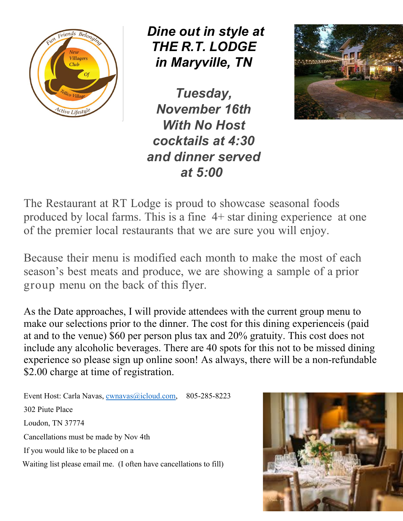

 *Dine out in style at THE R.T. LODGE in Maryville, TN*

*Tuesday, November 16th With No Host cocktails at 4:30 and dinner served at 5:00*



The Restaurant at RT Lodge is proud to showcase seasonal foods produced by local farms. This is a fine 4+ star dining experience at one of the premier local restaurants that we are sure you will enjoy.

Because their menu is modified each month to make the most of each season's best meats and produce, we are showing a sample of a prior group menu on the back of this flyer.

As the Date approaches, I will provide attendees with the current group menu to make our selections prior to the dinner. The cost for this dining experienceis (paid at and to the venue) \$60 per person plus tax and 20% gratuity. This cost does not include any alcoholic beverages. There are 40 spots for this not to be missed dining experience so please sign up online soon! As always, there will be a non-refundable \$2.00 charge at time of registration.

Event Host: Carla Navas, cwnavas@icloud.com, 805-285-8223 302 Piute Place Loudon, TN 37774 Cancellations must be made by Nov 4th If you would like to be placed on a Waiting list please email me. (I often have cancellations to fill)